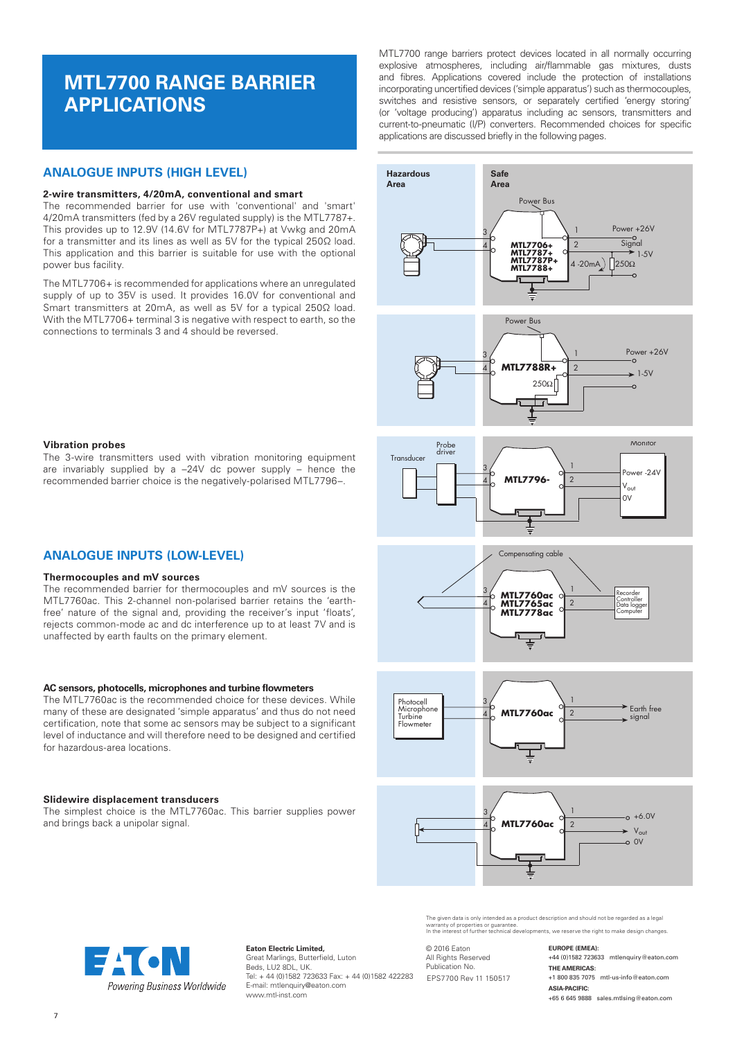# **MTL7700 RANGE BARRIER APPLICATIONS**

## **ANALOGUE INPUTS (HIGH LEVEL)**

#### **2-wire transmitters, 4/20mA, conventional and smart**

The recommended barrier for use with 'conventional' and 'smart' 4/20mA transmitters (fed by a 26V regulated supply) is the MTL7787+. This provides up to 12.9V (14.6V for MTL7787P+) at Vwkg and 20mA for a transmitter and its lines as well as 5V for the typical 250Ω load. This application and this barrier is suitable for use with the optional power bus facility.

The MTL7706+ is recommended for applications where an unregulated supply of up to 35V is used. It provides 16.0V for conventional and Smart transmitters at 20mA, as well as 5V for a typical 250Ω load. With the MTL7706+ terminal 3 is negative with respect to earth, so the connections to terminals 3 and 4 should be reversed.

MTL7700 range barriers protect devices located in all normally occurring explosive atmospheres, including air/flammable gas mixtures, dusts and fibres. Applications covered include the protection of installations incorporating uncertified devices ('simple apparatus') such as thermocouples, switches and resistive sensors, or separately certified 'energy storing' (or 'voltage producing') apparatus including ac sensors, transmitters and current-to-pneumatic (I/P) converters. Recommended choices for specific applications are discussed briefly in the following pages.





## **Vibration probes**

The 3-wire transmitters used with vibration monitoring equipment are invariably supplied by a –24V dc power supply – hence the recommended barrier choice is the negatively-polarised MTL7796–.

## **ANALOGUE INPUTS (LOW-LEVEL)**

#### **Thermocouples and mV sources**

The recommended barrier for thermocouples and mV sources is the MTL7760ac. This 2-channel non-polarised barrier retains the 'earthfree' nature of the signal and, providing the receiver's input 'floats', rejects common-mode ac and dc interference up to at least 7V and is unaffected by earth faults on the primary element.

#### **AC sensors, photocells, microphones and turbine flowmeters**

The MTL7760ac is the recommended choice for these devices. While many of these are designated 'simple apparatus' and thus do not need certification, note that some ac sensors may be subject to a significant level of inductance and will therefore need to be designed and certified for hazardous-area locations.

#### **Slidewire displacement transducers**

The simplest choice is the MTL7760ac. This barrier supplies power and brings back a unipolar signal.









The given data is only intended as a product description and should not be regarded as a legal<br>warranty of properties or guarantee.<br>In the interest of further technical developments, we reserve the right to make design cha

© 2016 Eaton All Rights Reserved Publication No. EPS7700 Rev 11 150517

**EUROPE (EMEA):** +44 (0)1582 723633 mtlenquiry@eaton.com **THE AMERICAS:** +1 800 835 7075 mtl-us-info@eaton.com **ASIA-PACIFIC:** +65 6 645 9888 sales.mtlsing@eaton.com



**Eaton Electric Limited,** Great Marlings, Butterfield, Luton Beds, LU2 8DL, UK. Tel: + 44 (0)1582 723633 Fax: + 44 (0)1582 422283 E-mail: mtlenquiry@eaton.com www.mtl-inst.com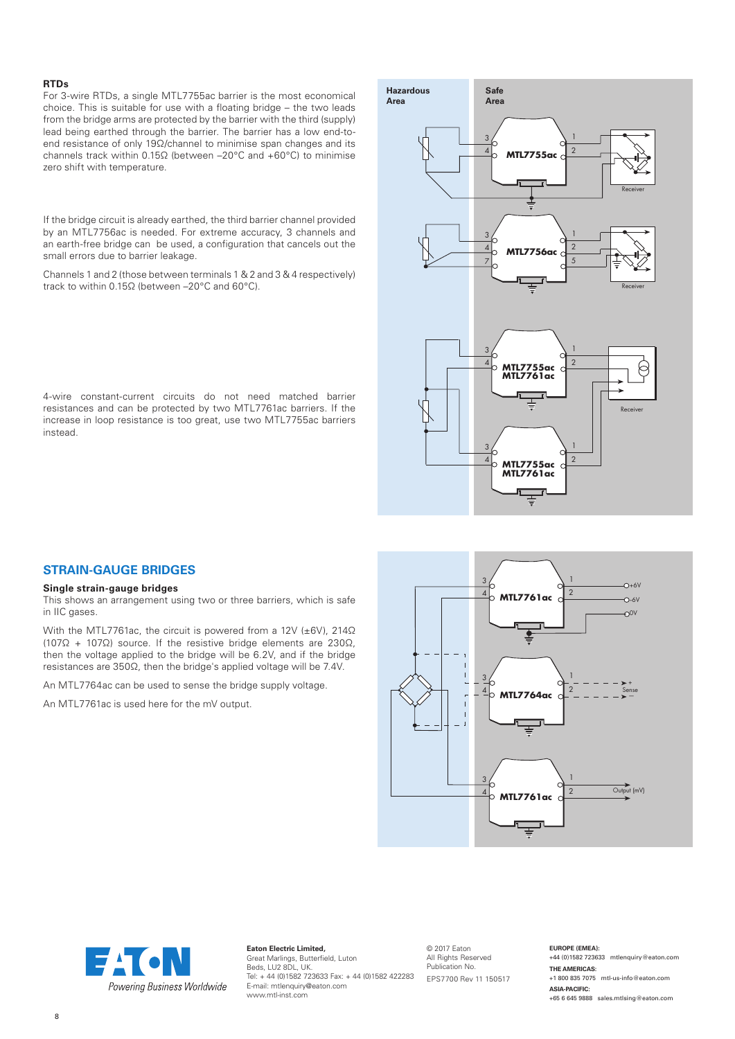#### **RTDs**

For 3-wire RTDs, a single MTL7755ac barrier is the most economical choice. This is suitable for use with a floating bridge – the two leads from the bridge arms are protected by the barrier with the third (supply) lead being earthed through the barrier. The barrier has a low end-toend resistance of only 19Ω/channel to minimise span changes and its channels track within 0.15Ω (between –20°C and +60°C) to minimise zero shift with temperature.

If the bridge circuit is already earthed, the third barrier channel provided by an MTL7756ac is needed. For extreme accuracy, 3 channels and an earth-free bridge can be used, a configuration that cancels out the small errors due to barrier leakage.

Channels 1 and 2 (those between terminals 1 & 2 and 3 & 4 respectively) track to within 0.15Ω (between –20°C and 60°C).

4-wire constant-current circuits do not need matched barrier resistances and can be protected by two MTL7761ac barriers. If the increase in loop resistance is too great, use two MTL7755ac barriers instead.



## **STRAIN-GAUGE BRIDGES**

#### **Single strain-gauge bridges**

This shows an arrangement using two or three barriers, which is safe in IIC gases.

With the MTL7761ac, the circuit is powered from a 12V (±6V), 214Ω (107Ω + 107Ω) source. If the resistive bridge elements are 230Ω, then the voltage applied to the bridge will be 6.2V, and if the bridge resistances are 350Ω, then the bridge's applied voltage will be 7.4V.

An MTL7764ac can be used to sense the bridge supply voltage.

An MTL7761ac is used here for the mV output.





**Eaton Electric Limited,** Great Marlings, Butterfield, Luton Beds, LU2 8DL, UK. Tel: + 44 (0)1582 723633 Fax: + 44 (0)1582 422283 E-mail: mtlenquiry@eaton.com www.mtl-inst.com

© 2017 Eaton All Rights Reserved Publication No. EPS7700 Rev 11 150517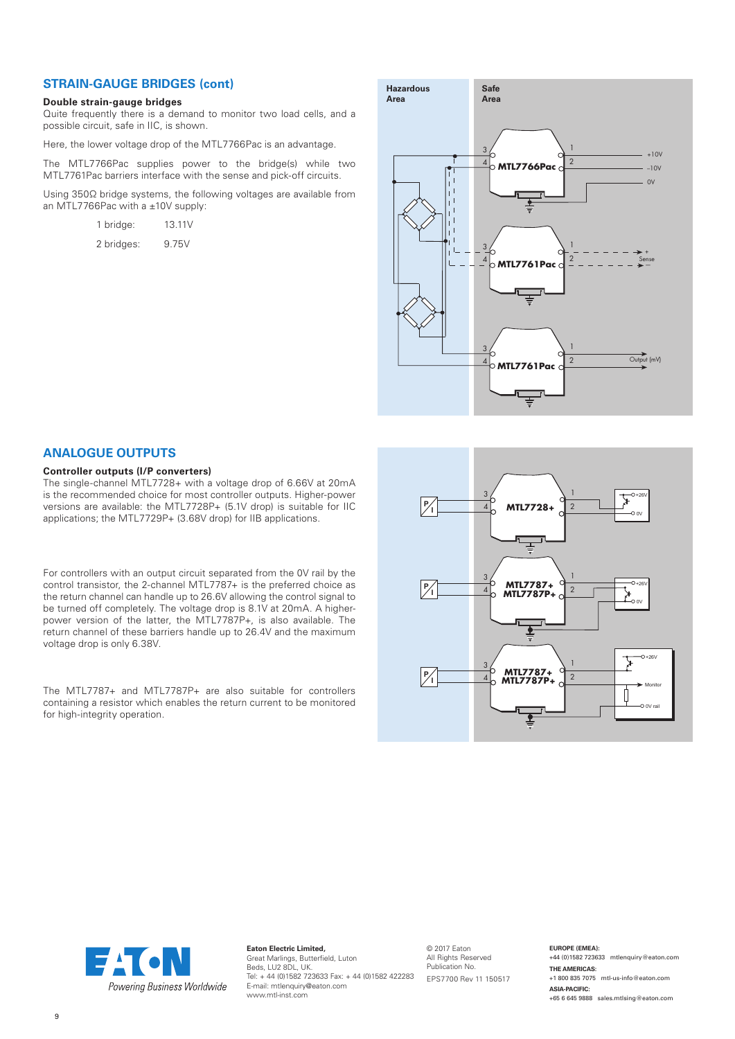## **STRAIN-GAUGE BRIDGES (cont)**

#### **Double strain-gauge bridges**

Quite frequently there is a demand to monitor two load cells, and a possible circuit, safe in IIC, is shown.

Here, the lower voltage drop of the MTL7766Pac is an advantage.

The MTL7766Pac supplies power to the bridge(s) while two MTL7761Pac barriers interface with the sense and pick-off circuits.

Using 350Ω bridge systems, the following voltages are available from an MTL7766Pac with a ±10V supply:

| 1 bridge:  | 13.11V |
|------------|--------|
| 2 bridges: | 9.75V  |



## **ANALOGUE OUTPUTS**

#### **Controller outputs (I/P converters)**

The single-channel MTL7728+ with a voltage drop of 6.66V at 20mA is the recommended choice for most controller outputs. Higher-power versions are available: the MTL7728P+ (5.1V drop) is suitable for IIC applications; the MTL7729P+ (3.68V drop) for IIB applications.

For controllers with an output circuit separated from the 0V rail by the control transistor, the 2-channel MTL7787+ is the preferred choice as the return channel can handle up to 26.6V allowing the control signal to be turned off completely. The voltage drop is 8.1V at 20mA. A higherpower version of the latter, the MTL7787P+, is also available. The return channel of these barriers handle up to 26.4V and the maximum voltage drop is only 6.38V.

The MTL7787+ and MTL7787P+ are also suitable for controllers containing a resistor which enables the return current to be monitored for high-integrity operation.





**Eaton Electric Limited,** Great Marlings, Butterfield, Luton Beds, LU2 8DL, UK. Tel: + 44 (0)1582 723633 Fax: + 44 (0)1582 422283 EPS7700 Rev 11 150517E-mail: mtlenquiry@eaton.com www.mtl-inst.com

© 2017 Eaton All Rights Reserved Publication No.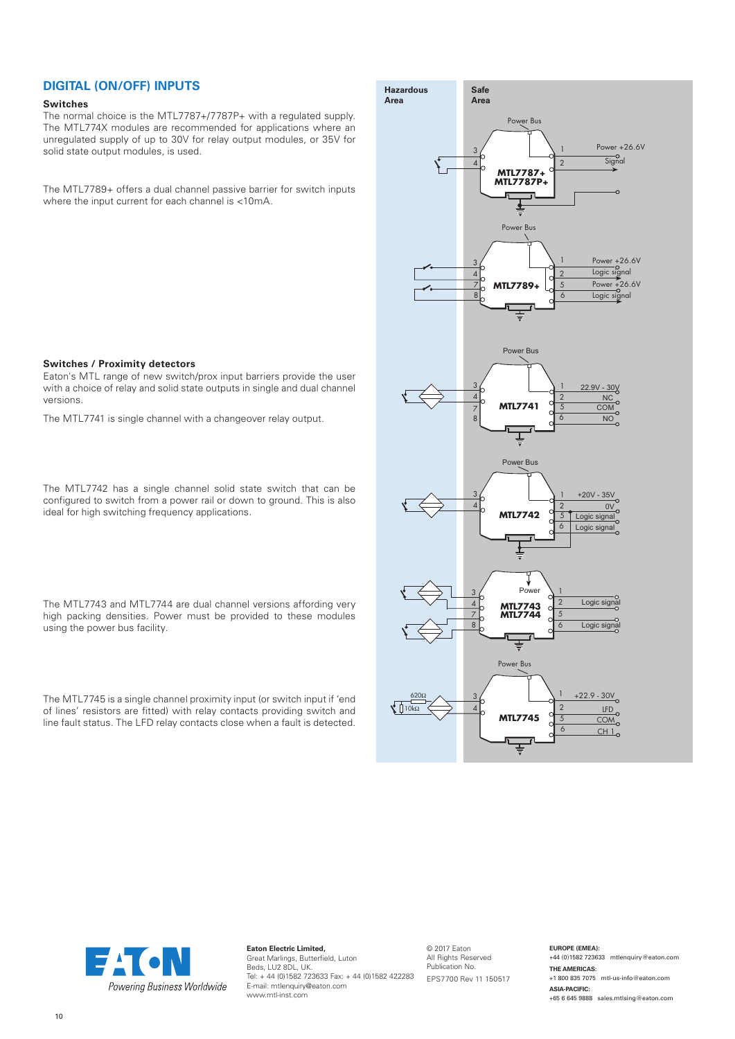### **DIGITAL (ON/OFF) INPUTS**

#### **Switches**

The normal choice is the MTL7787+/7787P+ with a regulated supply. The MTL774X modules are recommended for applications where an unregulated supply of up to 30V for relay output modules, or 35V for solid state output modules, is used.

The MTL7789+ offers a dual channel passive barrier for switch inputs where the input current for each channel is <10mA.

#### **Switches / Proximity detectors**

Eaton's MTL range of new switch/prox input barriers provide the user with a choice of relay and solid state outputs in single and dual channel versions.

The MTL7741 is single channel with a changeover relay output.

The MTL7742 has a single channel solid state switch that can be configured to switch from a power rail or down to ground. This is also ideal for high switching frequency applications.

The MTL7743 and MTL7744 are dual channel versions affording very high packing densities. Power must be provided to these modules using the power bus facility.

The MTL7745 is a single channel proximity input (or switch input if 'end of lines' resistors are fitted) with relay contacts providing switch and line fault status. The LFD relay contacts close when a fault is detected.





**Eaton Electric Limited,** Great Marlings, Butterfield, Luton Beds, LU2 8DL, UK. Tel: + 44 (0)1582 723633 Fax: + 44 (0)1582 422283 E-mail: mtlenquiry@eaton.com www.mtl-inst.com

© 2017 Eaton All Rights Reserved Publication No. EPS7700 Rev 11 150517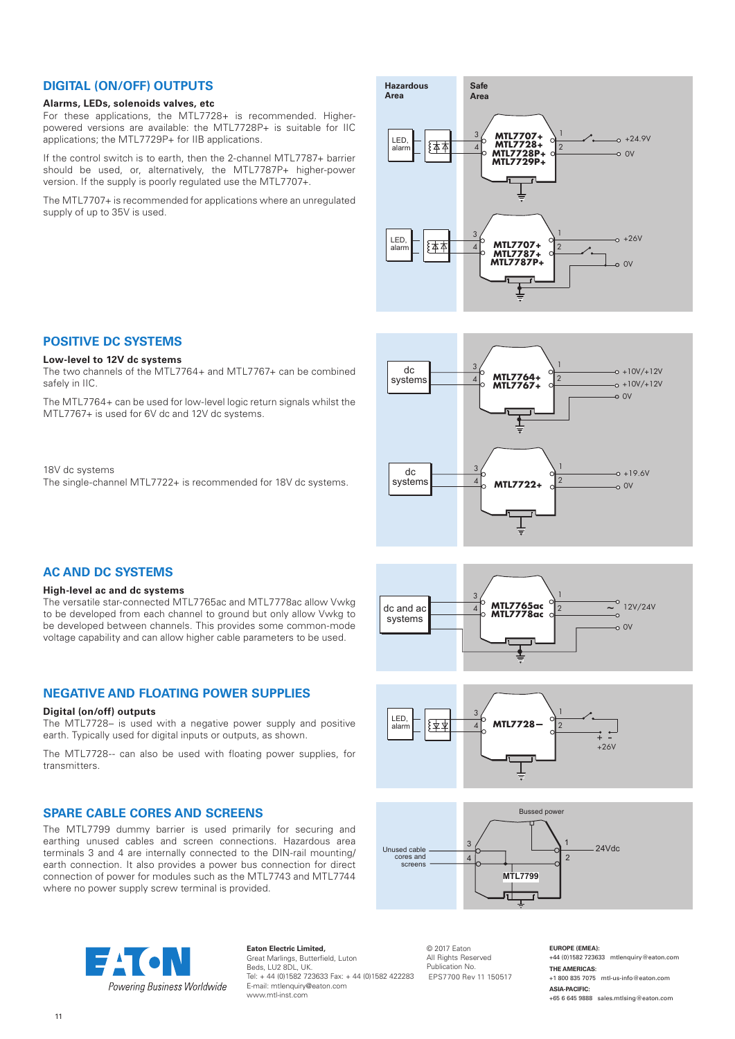## **DIGITAL (ON/OFF) OUTPUTS**

## **Alarms, LEDs, solenoids valves, etc**

For these applications, the MTL7728+ is recommended. Higherpowered versions are available: the MTL7728P+ is suitable for IIC applications; the MTL7729P+ for IIB applications.

If the control switch is to earth, then the 2-channel MTL7787+ barrier should be used, or, alternatively, the MTL7787P+ higher-power version. If the supply is poorly regulated use the MTL7707+.

The MTL7707+ is recommended for applications where an unregulated supply of up to 35V is used.

The two channels of the MTL7764+ and MTL7767+ can be combined

The MTL7764+ can be used for low-level logic return signals whilst the

The single-channel MTL7722+ is recommended for 18V dc systems.

MTL7767+ is used for 6V dc and 12V dc systems.



#### 3 4 1 2  $\sim$  0V **MTL7764+ MTL7767+**  $\overline{\mathsf{d}}$ systems  $4\overline{\smash)$  MIL//04+  $\overline{\smash)2}$   $\rightarrow$   $\overline{\smash)10V/12V}$  $-0 +10V/+12V$ 3 4 1 **MTL7722+**  $\frac{2}{2}$  0V  $dc$ system  $-10.6V$









**Eaton Electric Limited,** Great Marlings, Butterfield, Luton Beds, LU2 8DL, UK. Tel: + 44 (0)1582 723633 Fax: + 44 (0)1582 422283 E-mail: mtlenquiry@eaton.com www.mtl-inst.com

© 2017 Eaton All Rights Reserved Publication No. EPS7700 Rev 11 150517 **EUROPE (EMEA):** +44 (0)1582 723633 mtlenquiry@eaton.com **THE AMERICAS:** +1 800 835 7075 mtl-us-info@eaton.com **ASIA-PACIFIC:** +65 6 645 9888 sales.mtlsing@eaton.com



#### **High-level ac and dc systems**

**POSITIVE DC SYSTEMS Low-level to 12V dc systems**

safely in IIC.

18V dc systems

The versatile star-connected MTL7765ac and MTL7778ac allow Vwkg to be developed from each channel to ground but only allow Vwkg to be developed between channels. This provides some common-mode voltage capability and can allow higher cable parameters to be used.

## **NEGATIVE AND FLOATING POWER SUPPLIES**

## **Digital (on/off) outputs**

The MTL7728– is used with a negative power supply and positive earth. Typically used for digital inputs or outputs, as shown.

The MTL7728-- can also be used with floating power supplies, for transmitters.

## **SPARE CABLE CORES AND SCREENS**

The MTL7799 dummy barrier is used primarily for securing and earthing unused cables and screen connections. Hazardous area terminals 3 and 4 are internally connected to the DIN-rail mounting/ earth connection. It also provides a power bus connection for direct connection of power for modules such as the MTL7743 and MTL7744 where no power supply screw terminal is provided.